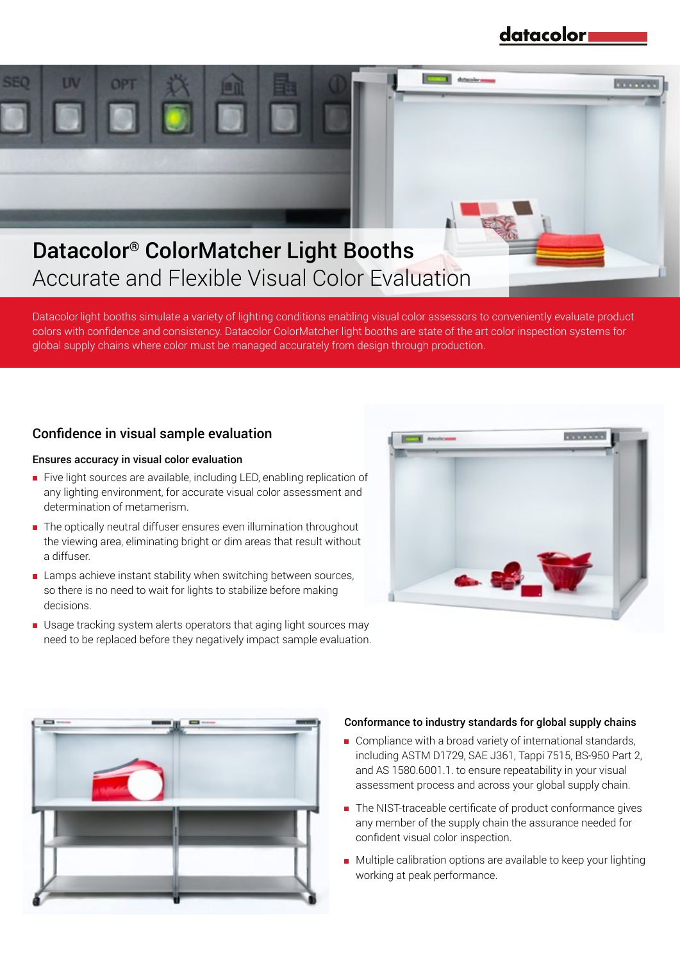# datacolor



Datacolorlight booths simulate a variety of lighting conditions enabling visual color assessors to conveniently evaluate product colors with confidence and consistency. Datacolor ColorMatcher light booths are state of the art color inspection systems for global supply chains where color must be managed accurately from design through production.

## Confidence in visual sample evaluation

### Ensures accuracy in visual color evaluation

- Five light sources are available, including LED, enabling replication of any lighting environment, for accurate visual color assessment and determination of metamerism.
- The optically neutral diffuser ensures even illumination throughout the viewing area, eliminating bright or dim areas that result without a diffuser.
- **EXECUTE:** Lamps achieve instant stability when switching between sources, so there is no need to wait for lights to stabilize before making decisions.
- Usage tracking system alerts operators that aging light sources may need to be replaced before they negatively impact sample evaluation.





#### Conformance to industry standards for global supply chains

- Compliance with a broad variety of international standards, including ASTM D1729, SAE J361, Tappi 7515, BS-950 Part 2, and AS 1580.6001.1. to ensure repeatability in your visual assessment process and across your global supply chain.
- The NIST-traceable certificate of product conformance gives any member of the supply chain the assurance needed for confident visual color inspection.
- Multiple calibration options are available to keep your lighting working at peak performance.